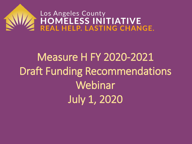# Los Angeles County<br>HOMELESS INITIATIVE<br>REAL HELP. LASTING CHANGE.

## Measure H FY 2020-2021 Draft Funding Recommendations Webinar July 1, 2020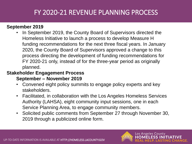### FY 2020-21 REVENUE PLANNING PROCESS

#### **September 2019**

• In September 2019, the County Board of Supervisors directed the Homeless Initiative to launch a process to develop Measure H funding recommendations for the next three fiscal years. In January 2020, the County Board of Supervisors approved a change to this process directing the development of funding recommendations for FY 2020-21 only, instead of for the three-year period as originally planned.

#### **Stakeholder Engagement Process**

#### **September – November 2019**

- Convened eight policy summits to engage policy experts and key stakeholders.
- Facilitated, in collaboration with the Los Angeles Homeless Services Authority (LAHSA), eight community input sessions, one in each Service Planning Area, to engage community members.
- Solicited public comments from September 27 through November 30, 2019 through a publicized online form.

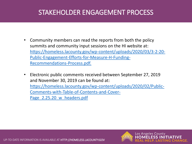### STAKEHOLDER ENGAGEMENT PROCESS

- Community members can read the reports from both the policy summits and community input sessions on the HI website at: [https://homeless.lacounty.gov/wp-content/uploads/2020/03/3-2-20-](https://homeless.lacounty.gov/wp-content/uploads/2020/03/3-2-20-Public-Engagement-Efforts-for-Measure-H-Funding-Recommendations-Process.pdf) Public-Engagement-Efforts-for-Measure-H-Funding-Recommendations-Process.pdf.
- Electronic public comments received between September 27, 2019 and November 30, 2019 can be found at: [https://homeless.lacounty.gov/wp-content/uploads/2020/02/Public-](https://homeless.lacounty.gov/wp-content/uploads/2020/02/Public-Comments-with-Table-of-Contents-and-Cover-Page_2.25.20_w_headers.pdf)Comments-with-Table-of-Contents-and-Cover-Page 2.25.20 w headers.pdf

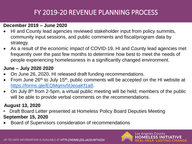### FY 2019-20 REVENUE PLANNING PROCESS

#### **December 2019 – June 2020**

- HI and County lead agencies reviewed stakeholder input from policy summits, community input sessions, and public comments and fiscal/program data by strategy.
- As a result of the economic impact of COVID-19, HI and County lead agencies met frequently over the past few months to determine how best to meet the needs of people experiencing homelessness in a significantly changed environment.

#### **June – July 2020 2020**

- On June 26, 2020, HI released draft funding recommendations.
- From June 26<sup>th</sup> to July 15<sup>th</sup>, public comments will be accepted on the HI website at [https://forms.gle/EQMqmv5fJeoaKf1a8.](https://forms.gle/EQMqmv5fJeoaKf1a8)
- On July 8th from 2-5pm, a virtual public meeting will be held; members of the public will be able to provide verbal comments on the recommendations.

#### **August 13, 2020**

- Draft Board Letter presented at Homeless Policy Board Deputies Meeting **September 15, 2020**
- Board of Supervisors consideration of recommendations

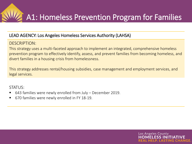A1: Homeless Prevention Program for Families

#### LEAD AGENCY: Los Angeles Homeless Services Authority (LAHSA)

#### DESCRIPTION:

This strategy uses a multi-faceted approach to implement an integrated, comprehensive homeless prevention program to effectively identify, assess, and prevent families from becoming homeless, and divert families in a housing crisis from homelessness.

This strategy addresses rental/housing subsidies, case management and employment services, and legal services.

- $643$  families were newly enrolled from July December 2019.
- 670 families were newly enrolled in FY 18-19.

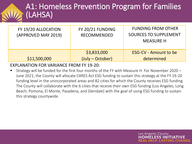## A1: Homeless Prevention Program for Families (LAHSA)

| FY 19/20 ALLOCATION<br>(APPROVED MAY 2019) | FY 20/21 FUNDING<br><b>RECOMMENDED</b> | <b>FUNDING FROM OTHER</b><br><b>SOURCES TO SUPPLEMENT</b><br><b>MEASURE H</b> |
|--------------------------------------------|----------------------------------------|-------------------------------------------------------------------------------|
| \$11,500,000                               | \$3,833,000<br>(July – October)        | <b>ESG-CV - Amount to be</b><br>determined                                    |

#### EXPLANATION FOR VARIANCE FROM FY 19-20:

Strategy will be funded for the first four months of the FY with Measure H. For November 2020 – June 2021, the County will allocate CARES Act ESG funding to sustain this strategy at the FY 19-20 funding level in the unincorporated areas and 82 cities for which the County receives ESG funding. The County will collaborate with the 6 cities that receive their own ESG funding (Los Angeles, Long Beach, Pomona, El Monte, Pasadena, and Glendale) with the goal of using ESG funding to sustain this strategy countywide.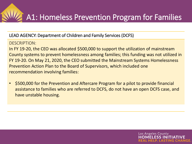#### LEAD AGENCY: Department of Children and Family Services (DCFS)

#### DESCRIPTION:

In FY 19-20, the CEO was allocated \$500,000 to support the utilization of mainstream County systems to prevent homelessness among families; this funding was not utilized in FY 19-20. On May 21, 2020, the CEO submitted the Mainstream Systems Homelessness Prevention Action Plan to the Board of Supervisors, which included one recommendation involving families:

• \$500,000 for the Prevention and Aftercare Program for a pilot to provide financial assistance to families who are referred to DCFS, do not have an open DCFS case, and have unstable housing.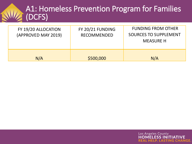## A1: Homeless Prevention Program for Families (DCFS)

| FY 19/20 ALLOCATION<br>(APPROVED MAY 2019) | FY 20/21 FUNDING<br><b>RECOMMENDED</b> | <b>FUNDING FROM OTHER</b><br><b>SOURCES TO SUPPLEMENT</b><br><b>MEASURE H</b> |
|--------------------------------------------|----------------------------------------|-------------------------------------------------------------------------------|
| N/A                                        | \$500,000                              | N/A                                                                           |

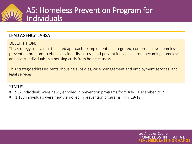## A5: Homeless Prevention Program for Individuals

#### LEAD AGENCY: LAHSA

#### DESCRIPTION:

This strategy uses a multi-faceted approach to implement an integrated, comprehensive homeless prevention program to effectively identify, assess, and prevent individuals from becoming homeless, and divert individuals in a housing crisis from homelessness.

This strategy addresses rental/housing subsidies, case management and employment services, and legal services.

- 937 individuals were newly enrolled in prevention programs from July December 2019.
- 1,133 individuals were newly enrolled in prevention programs in FY 18-19.

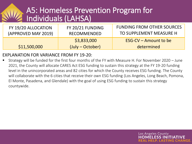## A5: Homeless Prevention Program for Individuals (LAHSA)

| FY 19/20 ALLOCATION | FY 20/21 FUNDING                  | <b>FUNDING FROM OTHER SOURCES</b>   |
|---------------------|-----------------------------------|-------------------------------------|
| (APPROVED MAY 2019) | RECOMMENDED                       | TO SUPPLEMENT MEASURE H             |
| \$11,500,000        | \$3,833,000<br>$(July - October)$ | ESG-CV – Amount to be<br>determined |

#### EXPLANATION FOR VARIANCE FROM FY 19-20:

Strategy will be funded for the first four months of the FY with Measure H. For November 2020 – June 2021, the County will allocate CARES Act ESG funding to sustain this strategy at the FY 19-20 funding level in the unincorporated areas and 82 cities for which the County receives ESG funding. The County will collaborate with the 6 cities that receive their own ESG funding (Los Angeles, Long Beach, Pomona, El Monte, Pasadena, and Glendale) with the goal of using ESG funding to sustain this strategy countywide.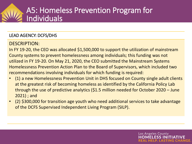## A5: Homeless Prevention Program for Individuals

#### LEAD AGENCY: DCFS/DHS

#### DESCRIPTION:

In FY 19-20, the CEO was allocated \$1,500,000 to support the utilization of mainstream County systems to prevent homelessness among individuals; this funding was not utilized in FY 19-20. On May 21, 2020, the CEO submitted the Mainstream Systems Homelessness Prevention Action Plan to the Board of Supervisors, which included two recommendations involving individuals for which funding is required:

- (1) a new Homelessness Prevention Unit in DHS focused on County single adult clients at the greatest risk of becoming homeless as identified by the California Policy Lab through the use of predictive analytics (\$1.5 million needed for October 2020 – June 2021) ; and
- (2) \$300,000 for transition age youth who need additional services to take advantage of the DCFS Supervised Independent Living Program (SILP).

Los Angeles County MFLFSS INI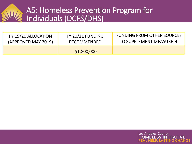## A5: Homeless Prevention Program for Individuals (DCFS/DHS)\_

| FY 19/20 ALLOCATION | FY 20/21 FUNDING | <b>FUNDING FROM OTHER SOURCES</b> |
|---------------------|------------------|-----------------------------------|
| (APPROVED MAY 2019) | RECOMMENDED      | TO SUPPLEMENT MEASURE H           |
|                     | \$1,800,000      |                                   |

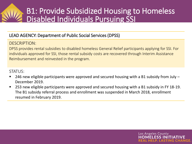## B1: Provide Subsidized Housing to Homeless Disabled Individuals Pursuing SSI

#### LEAD AGENCY: Department of Public Social Services (DPSS)

#### DESCRIPTION:

DPSS provides rental subsidies to disabled homeless General Relief participants applying for SSI. For individuals approved for SSI, those rental subsidy costs are recovered through Interim Assistance Reimbursement and reinvested in the program.

STATUS:

- 246 new eligible participants were approved and secured housing with a B1 subsidy from July  $-$ December 2019.
- 253 new eligible participants were approved and secured housing with a B1 subsidy in FY 18-19. The B1 subsidy referral process and enrollment was suspended in March 2018, enrollment resumed in February 2019.

Los Angeles County

FI FSS IN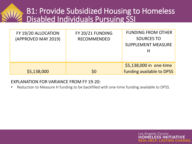## B1: Provide Subsidized Housing to Homeless Disabled Individuals Pursuing SSI

| FY 19/20 ALLOCATION<br>(APPROVED MAY 2019) | FY 20/21 FUNDING<br><b>RECOMMENDED</b> | <b>FUNDING FROM OTHER</b><br><b>SOURCES TO</b><br><b>SUPPLEMENT MEASURE</b> |
|--------------------------------------------|----------------------------------------|-----------------------------------------------------------------------------|
| \$5,138,000                                | \$0                                    | \$5,138,000 in one-time<br>funding available to DPSS                        |

#### EXPLANATION FOR VARIANCE FROM FY 19-20:

• Reduction to Measure H funding to be backfilled with one-time funding available to DPSS.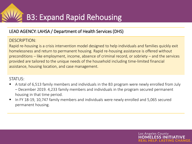#### LEAD AGENCY: LAHSA / Department of Health Services (DHS)

#### DESCRIPTION:

Rapid re-housing is a crisis intervention model designed to help individuals and families quickly exit homelessness and return to permanent housing. Rapid re-housing assistance is offered without preconditions – like employment, income, absence of criminal record, or sobriety – and the services provided are tailored to the unique needs of the household including time-limited financial assistance, housing location, and case management.

#### STATUS:

■ A total of 6,513 family members and individuals in the B3 program were newly enrolled from July – December 2019. 4,233 family members and individuals in the program secured permanent housing in that time period.

Los Angeles County

FI FSS IN

■ In FY 18-19, 10,747 family members and individuals were newly enrolled and 5,065 secured permanent housing.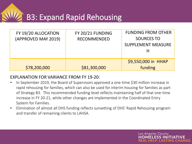B3: Expand Rapid Rehousing

| FY 19/20 ALLOCATION<br>(APPROVED MAY 2019) | FY 20/21 FUNDING<br><b>RECOMMENDED</b> | <b>FUNDING FROM OTHER</b><br><b>SOURCES TO</b><br><b>SUPPLEMENT MEASURE</b> |
|--------------------------------------------|----------------------------------------|-----------------------------------------------------------------------------|
| \$78,200,000                               | \$81,300,000                           | \$9,550,000 in HHAP<br>funding                                              |

#### EXPLANATION FOR VARIANCE FROM FY 19-20:

- In September 2019, the Board of Supervisors approved a one-time \$30 million increase in rapid rehousing for families, which can also be used for interim housing for families as part of Strategy B3. This recommended funding level reflects maintaining half of that one-time increase in FY 20-21, while other changes are implemented in the Coordinated Entry System for Families.
- Elimination of almost all DHS funding reflects sunsetting of DHS' Rapid Rehousing program and transfer of remaining clients to LAHSA.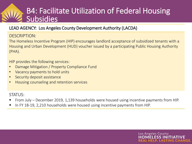## B4: Facilitate Utilization of Federal Housing **Subsidies**

#### LEAD AGENCY: Los Angeles County Development Authority (LACDA)

#### DESCRIPTION:

The Homeless Incentive Program (HIP) encourages landlord acceptance of subsidized tenants with a Housing and Urban Development (HUD) voucher issued by a participating Public Housing Authority (PHA).

HIP provides the following services:

- Damage Mitigation / Property Compliance Fund
- Vacancy payments to hold units
- Security deposit assistance
- Housing counseling and retention services

#### STATUS:

▪ From July – December 2019, 1,139 households were housed using incentive payments from HIP.

Los Angeles County

FI FSS IN

In FY 18-19, 2,210 households were housed using incentive payments from HIP.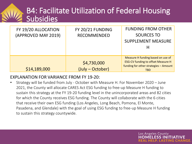## B4: Facilitate Utilization of Federal Housing **Subsidies**

| FY 19/20 ALLOCATION<br>(APPROVED MAY 2019) | FY 20/21 FUNDING<br><b>RECOMMENDED</b> | <b>FUNDING FROM OTHER</b><br><b>SOURCES TO</b><br><b>SUPPLEMENT MEASURE</b><br>H                                                      |
|--------------------------------------------|----------------------------------------|---------------------------------------------------------------------------------------------------------------------------------------|
| \$14,189,000                               | \$4,730,000<br>(July – October)        | Measure H funding based on use of<br><b>ESG-CV funding to offset Measure H</b><br>funding for other strategies - Amount<br><b>TBD</b> |

#### EXPLANATION FOR VARIANCE FROM FY 19-20:

• Strategy will be funded from July - October with Measure H. For November 2020 – June 2021, the County will allocate CARES Act ESG funding to free-up Measure H funding to sustain this strategy at the FY 19-20 funding level in the unincorporated areas and 82 cities for which the County receives ESG funding. The County will collaborate with the 6 cities that receive their own ESG funding (Los Angeles, Long Beach, Pomona, El Monte, Pasadena, and Glendale) with the goal of using ESG funding to free-up Measure H funding to sustain this strategy countywide.

Los Angeles County

ESS INI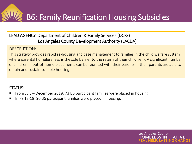## B6: Family Reunification Housing Subsidies

#### LEAD AGENCY: Department of Children & Family Services (DCFS) Los Angeles County Development Authority (LACDA)

#### DESCRIPTION:

This strategy provides rapid re-housing and case management to families in the child welfare system where parental homelessness is the sole barrier to the return of their child(ren). A significant number of children in out-of-home placements can be reunited with their parents, if their parents are able to obtain and sustain suitable housing.

Los Angeles County

- From July December 2019, 73 B6 participant families were placed in housing.
- In FY 18-19, 90 B6 participant families were placed in housing.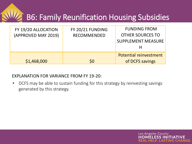## B6: Family Reunification Housing Subsidies

| \$1,468,000         | \$0                | <b>Potential reinvestment</b><br>of DCFS savings |
|---------------------|--------------------|--------------------------------------------------|
|                     |                    | <b>SUPPLEMENT MEASURE</b>                        |
| (APPROVED MAY 2019) | <b>RECOMMENDED</b> | <b>OTHER SOURCES TO</b>                          |
| FY 19/20 ALLOCATION | FY 20/21 FUNDING   | <b>FUNDING FROM</b>                              |

#### EXPLANATION FOR VARIANCE FROM FY 19-20:

• DCFS may be able to sustain funding for this strategy by reinvesting savings generated by this strategy.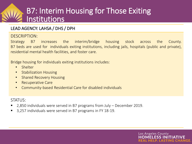## B7: Interim Housing for Those Exiting Institutions

#### LEAD AGENCY: LAHSA / DHS / DPH

#### DESCRIPTION:

Strategy B7 increases the interim/bridge housing stock across the County. B7 beds are used for individuals exiting institutions, including jails, hospitals (public and private), residential mental health facilities, and foster care.

Los Angeles County

Bridge housing for individuals exiting institutions includes:

- Shelter
- **Stabilization Housing**
- Shared Recovery Housing
- Recuperative Care
- Community-based Residential Care for disabled individuals

- 2,850 individuals were served in B7 programs from July December 2019.
- 3,257 individuals were served in B7 programs in FY 18-19.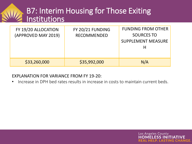## **B7: Interim Housing for Those Exiting** Institutions

| FY 19/20 ALLOCATION<br>(APPROVED MAY 2019) | FY 20/21 FUNDING<br><b>RECOMMENDED</b> | <b>FUNDING FROM OTHER</b><br><b>SOURCES TO</b><br><b>SUPPLEMENT MEASURE</b> |
|--------------------------------------------|----------------------------------------|-----------------------------------------------------------------------------|
| \$33,260,000                               | \$35,992,000                           | N/A                                                                         |

#### EXPLANATION FOR VARIANCE FROM FY 19-20:

• Increase in DPH bed rates results in increase in costs to maintain current beds.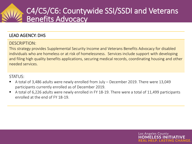## C4/C5/C6: Countywide SSI/SSDI and Veterans Benefits Advocacy

#### LEAD AGENCY: DHS

#### DESCRIPTION:

This strategy provides Supplemental Security Income and Veterans Benefits Advocacy for disabled individuals who are homeless or at risk of homelessness. Services include support with developing and filing high quality benefits applications, securing medical records, coordinating housing and other needed services.

- A total of 3,486 adults were newly enrolled from July December 2019. There were 13,049 participants currently enrolled as of December 2019.
- A total of 6,226 adults were newly enrolled in FY 18-19. There were a total of 11,499 participants enrolled at the end of FY 18-19.

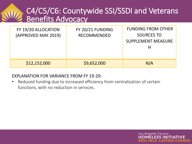## C4/C5/C6: Countywide SSI/SSDI and Veterans Benefits Advocacy

| FY 19/20 ALLOCATION<br>(APPROVED MAY 2019) | FY 20/21 FUNDING<br><b>RECOMMENDED</b> | <b>FUNDING FROM OTHER</b><br><b>SOURCES TO</b><br><b>SUPPLEMENT MEASURE</b> |
|--------------------------------------------|----------------------------------------|-----------------------------------------------------------------------------|
| \$12,152,000                               | \$9,652,000                            | N/A                                                                         |

#### EXPLANATION FOR VARIANCE FROM FY 19-20:

• Reduced funding due to increased efficiency from centralization of certain functions, with no reduction in services.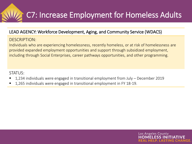

#### LEAD AGENCY: Workforce Development, Aging, and Community Service (WDACS)

DESCRIPTION:

Individuals who are experiencing homelessness, recently homeless, or at risk of homelessness are provided expanded employment opportunities and support through subsidized employment, including through Social Enterprises, career pathways opportunities, and other programming.

Los Angeles County

- 1,234 individuals were engaged in transitional employment from July  $-$  December 2019
- 1,265 individuals were engaged in transitional employment in FY 18-19.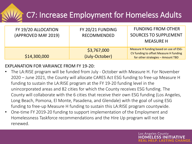## C7: Increase Employment for Homeless Adults

| FY 19/20 ALLOCATION<br>(APPROVED MAY 2019) | FY 20/21 FUNDING<br><b>RECOMMENDED</b> | <b>FUNDING FROM OTHER</b><br><b>SOURCES TO SUPPLEMENT</b><br><b>MEASURE H</b>                                         |
|--------------------------------------------|----------------------------------------|-----------------------------------------------------------------------------------------------------------------------|
| \$14,300,000                               | \$3,767,000<br>(July-October)          | Measure H funding based on use of ESG-<br>CV funding to offset Measure H funding<br>for other strategies - Amount TBD |

#### EXPLANATION FOR VARIANCE FROM FY 19-20:

• The LA:RISE program will be funded from July - October with Measure H. For November 2020 – June 2021, the County will allocate CARES Act ESG funding to free-up Measure H funding to sustain the LA:RISE program at the FY 19-20 funding level in the unincorporated areas and 82 cities for which the County receives ESG funding. The County will collaborate with the 6 cities that receive their own ESG funding (Los Angeles, Long Beach, Pomona, El Monte, Pasadena, and Glendale) with the goal of using ESG funding to free-up Measure H funding to sustain this LA:RISE program countywide.

Los Angeles County

**FSS IN** 

• One-time FY 2019-20 funding to support implementation of the Employment and Homelessness Taskforce recommendations and the Hire Up program will not be renewed.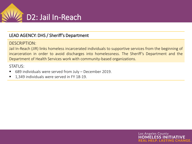

#### LEAD AGENCY: DHS / Sheriff's Department

#### DESCRIPTION:

Jail In-Reach (JIR) links homeless incarcerated individuals to supportive services from the beginning of incarceration in order to avoid discharges into homelessness. The Sheriff's Department and the Department of Health Services work with community-based organizations.

Los Angeles County

ESS INI

- 689 individuals were served from July December 2019.
- 1,349 individuals were served in FY 18-19.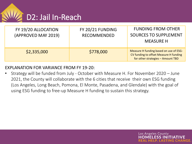

| FY 19/20 ALLOCATION<br>(APPROVED MAY 2019) | FY 20/21 FUNDING<br><b>RECOMMENDED</b> | <b>FUNDING FROM OTHER</b><br><b>SOURCES TO SUPPLEMENT</b><br><b>MEASURE H</b>                                         |
|--------------------------------------------|----------------------------------------|-----------------------------------------------------------------------------------------------------------------------|
| \$2,335,000                                | \$778,000                              | Measure H funding based on use of ESG-<br>CV funding to offset Measure H funding<br>for other strategies - Amount TBD |

#### EXPLANATION FOR VARIANCE FROM FY 19-20:

• Strategy will be funded from July - October with Measure H. For November 2020 – June 2021, the County will collaborate with the 6 cities that receive their own ESG funding (Los Angeles, Long Beach, Pomona, El Monte, Pasadena, and Glendale) with the goal of using ESG funding to free-up Measure H funding to sustain this strategy.

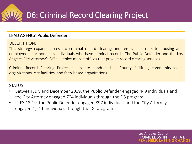

#### LEAD AGENCY: Public Defender

#### DESCRIPTION:

This strategy expands access to criminal record clearing and removes barriers to housing and employment for homeless individuals who have criminal records. The Public Defender and the Los Angeles City Attorney's Office deploy mobile offices that provide record clearing services.

Criminal Record Clearing Project clinics are conducted at County facilities, community-based organizations, city facilities, and faith-based organizations.

- Between July and December 2019, the Public Defender engaged 449 individuals and the City Attorney engaged 704 individuals through the D6 program.
- In FY 18-19, the Public Defender engaged 897 individuals and the City Attorney engaged 1,211 individuals through the D6 program.

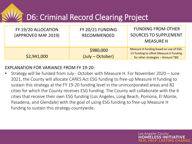## D6: Criminal Record Clearing Project

| FY 19/20 ALLOCATION<br>(APPROVED MAY 2019) | FY 20/21 FUNDING<br><b>RECOMMENDED</b> | <b>FUNDING FROM OTHER</b><br><b>SOURCES TO SUPPLEMENT</b><br><b>MEASURE H</b>                                         |
|--------------------------------------------|----------------------------------------|-----------------------------------------------------------------------------------------------------------------------|
| \$2,941,000                                | \$980,000<br>(July – October)          | Measure H funding based on use of ESG-<br>CV funding to offset Measure H funding<br>for other strategies - Amount TBD |

#### EXPLANATION FOR VARIANCE FROM FY 19-20:

• Strategy will be funded from July - October with Measure H. For November 2020 – June 2021, the County will allocate CARES Act ESG funding to free-up Measure H funding to sustain this strategy at the FY 19-20 funding level in the unincorporated areas and 82 cities for which the County receives ESG funding. The County will collaborate with the 6 cities that receive their own ESG funding (Los Angeles, Long Beach, Pomona, El Monte, Pasadena, and Glendale) with the goal of using ESG funding to free-up Measure H funding to sustain this strategy countywide.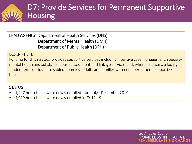## D7: Provide Services for Permanent Supportive Housing

LEAD AGENCY: Department of Health Services (DHS) Department of Mental Health (DMH) Department of Public Health (DPH)

DESCRIPTION:

Funding for this strategy provides supportive services including intensive case management, specialty mental health and substance abuse assessment and linkage services and, when necessary, a locallyfunded rent subsidy for disabled homeless adults and families who need permanent supportive housing.

Los Angeles County

- 1,247 households were newly enrolled from July December 2019.
- 4,019 households were newly enrolled in FY 18-19.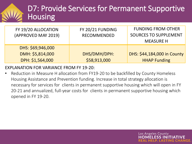## D7: Provide Services for Permanent Supportive **Housing**

| FY 19/20 ALLOCATION<br>(APPROVED MAY 2019) | FY 20/21 FUNDING<br><b>RECOMMENDED</b> | <b>FUNDING FROM OTHER</b><br><b>SOURCES TO SUPPLEMENT</b><br><b>MEASURE H</b> |
|--------------------------------------------|----------------------------------------|-------------------------------------------------------------------------------|
| DHS: \$69,946,000                          |                                        |                                                                               |
| DMH: \$5,814,000                           | DHS/DMH/DPH:                           | DHS: \$44,184,000 in County                                                   |
| DPH: \$1,564,000                           | \$58,913,000                           | <b>HHAP Funding</b>                                                           |

EXPLANATION FOR VARIANCE FROM FY 19-20:

Reduction in Measure H allocation from FY19-20 to be backfilled by County Homeless Housing Assistance and Prevention funding. Increase in total strategy allocation is necessary for services for clients in permanent supportive housing which will open in FY 20-21 and annualized, full-year costs for clients in permanent supportive housing which opened in FY 19-20.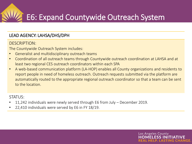## E6: Expand Countywide Outreach System

#### LEAD AGENCY: LAHSA/DHS/DPH

#### DESCRIPTION:

The Countywide Outreach System includes:

- Generalist and multidisciplinary outreach teams
- Coordination of all outreach teams through Countywide outreach coordination at LAHSA and at least two regional CES outreach coordinators within each SPA
- A web-based communication platform (LA-HOP) enables all County organizations and residents to report people in need of homeless outreach. Outreach requests submitted via the platform are automatically routed to the appropriate regional outreach coordinator so that a team can be sent to the location.

Los Angeles County

FSS IN

- 11,242 individuals were newly served through E6 from July December 2019.
- 22,410 individuals were served by E6 in FY 18/19.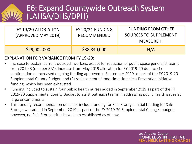## E6: Expand Countywide Outreach System (LAHSA/DHS/DPH)

| FY 19/20 ALLOCATION<br>(APPROVED MAY 2019) | FY 20/21 FUNDING<br><b>RECOMMENDED</b> | <b>FUNDING FROM OTHER</b><br>SOURCES TO SUPPLEMENT<br><b>MEASURE H</b> |
|--------------------------------------------|----------------------------------------|------------------------------------------------------------------------|
| \$29,002,000                               | \$38,840,000                           | N/A                                                                    |

#### EXPLANATION FOR VARIANCE FROM FY 19-20:

- Increase to sustain current outreach workers, except for reduction of public space generalist teams from 20 to 8 (one per SPA). Increase from May 2019 allocation for FY 2019-20 due to: (1) continuation of increased ongoing funding approved in September 2019 as part of the FY 2019-20 Supplemental County Budget; and (2) replacement of one-time Homeless Prevention Initiative funding, which has been exhausted.
- Funding included to sustain four public health nurses added in September 2019 as part of the FY 2019-20 Supplemental County Budget to assist outreach teams in addressing public health issues at large encampments.

Los Angeles County

FI ESS INI

• This funding recommendation does not include funding for Safe Storage. Initial funding for Safe Storage was added in September 2019 as part of the FY 2019-20 Supplemental Changes budget; however, no Safe Storage sites have been established as of now.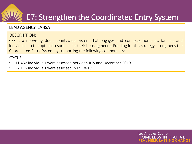## E7: Strengthen the Coordinated Entry System

#### LEAD AGENCY: LAHSA

#### DESCRIPTION:

CES is a no-wrong door, countywide system that engages and connects homeless families and individuals to the optimal resources for their housing needs. Funding for this strategy strengthens the Coordinated Entry System by supporting the following components:

- 11,482 individuals were assessed between July and December 2019.
- 27,116 individuals were assessed in FY 18-19.

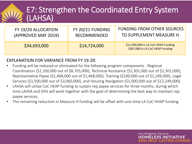## E7: Strengthen the Coordinated Entry System (LAHSA)

| FY 19/20 ALLOCATION | FY 20/21 FUNDING   | <b>FUNDING FROM OTHER SOURCES</b>                                       |
|---------------------|--------------------|-------------------------------------------------------------------------|
| (APPROVED MAY 2019) | <b>RECOMMENDED</b> | TO SUPPLEMENT MEASURE H                                                 |
| \$34,693,000        | \$14,724,000       | \$11,500,000 in LA CoC HHAP Funding<br>\$367,000 in LA CoC HEAP Funding |

#### EXPLANATION FOR VARIANCE FROM FY 19-20:

- Funding will be reduced or eliminated for the following program components : Regional Coordination (\$2,100,000 out of \$8,705,000), Technical Assistance (\$2,301,000 out of \$2,301,000), Representative Payee (\$1,468,000 out of \$1,468,000), Training (\$100,000 out of \$1,249,000), Legal Services (\$1,500,000 out of \$3,060,000), and Housing Navigation (\$1,000,000 out of \$12,249,000).
- LAHSA will utilize CoC HEAP funding to sustain rep payee services for three months, during which time LAHSA and DHS will work together with the goal of determining the best way to maintain rep payee services.
- The remaining reduction in Measure H funding will be offset with one-time LA CoC HHAP funding.

Los Angeles County

ELESS INI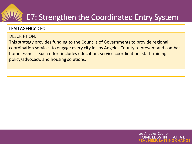## E7: Strengthen the Coordinated Entry System

#### LEAD AGENCY: CEO

#### DESCRIPTION:

This strategy provides funding to the Councils of Governments to provide regional coordination services to engage every city in Los Angeles County to prevent and combat homelessness. Such effort includes education, service coordination, staff training, policy/advocacy, and housing solutions.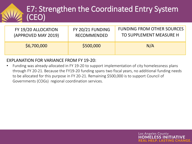## E7: Strengthen the Coordinated Entry System (CEO)

| FY 19/20 ALLOCATION | FY 20/21 FUNDING | <b>FUNDING FROM OTHER SOURCES</b> |
|---------------------|------------------|-----------------------------------|
| (APPROVED MAY 2019) | RECOMMENDED      | TO SUPPLEMENT MEASURE H           |
| \$6,700,000         | \$500,000        | N/A                               |

#### EXPLANATION FOR VARIANCE FROM FY 19-20:

• Funding was already-allocated in FY 19-20 to support implementation of city homelessness plans through FY 20-21. Because the FY19-20 funding spans two fiscal years, no additional funding needs to be allocated for this purpose in FY 20-21. Remaining \$500,000 is to support Council of Governments (COGs) regional coordination services.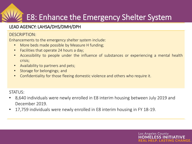## E8: Enhance the Emergency Shelter System

#### LEAD AGENCY: LAHSA/DHS/DMH/DPH

#### DESCRIPTION:

Enhancements to the emergency shelter system include:

- More beds made possible by Measure H funding;
- Facilities that operate 24 hours a day;
- Accessibility to people under the influence of substances or experiencing a mental health crisis;
- Availability to partners and pets;
- Storage for belongings; and
- Confidentiality for those fleeing domestic violence and others who require it.

#### $STATUS$

• 8,640 individuals were newly enrolled in E8 interim housing between July 2019 and December 2019.

Los Angeles County

• 17,759 individuals were newly enrolled in E8 interim housing in FY 18-19.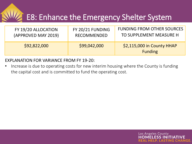## E8: Enhance the Emergency Shelter System

| FY 19/20 ALLOCATION | FY 20/21 FUNDING   | <b>FUNDING FROM OTHER SOURCES</b>            |
|---------------------|--------------------|----------------------------------------------|
| (APPROVED MAY 2019) | <b>RECOMMENDED</b> | TO SUPPLEMENT MEASURE H                      |
| \$92,822,000        | \$99,042,000       | \$2,115,000 in County HHAP<br><b>Funding</b> |

#### EXPLANATION FOR VARIANCE FROM FY 19-20:

• Increase is due to operating costs for new interim housing where the County is funding the capital cost and is committed to fund the operating cost.

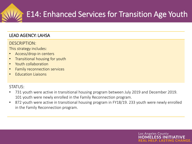## E14: Enhanced Services for Transition Age Youth

#### LEAD AGENCY: LAHSA

#### DESCRIPTION:

This strategy includes:

- Access/drop-in centers
- Transitional housing for youth
- Youth collaboration
- Family reconnection services
- Education Liaisons

#### STATUS:

- 731 youth were active in transitional housing program between July 2019 and December 2019. 101 youth were newly enrolled in the Family Reconnection program.
- 872 youth were active in transitional housing program in FY18/19. 233 youth were newly enrolled in the Family Reconnection program.

Los Angeles County

ELESS INI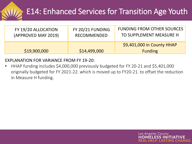## E14: Enhanced Services for Transition Age Youth

| FY 19/20 ALLOCATION | FY 20/21 FUNDING   | <b>FUNDING FROM OTHER SOURCES</b>            |
|---------------------|--------------------|----------------------------------------------|
| (APPROVED MAY 2019) | <b>RECOMMENDED</b> | TO SUPPLEMENT MEASURE H                      |
| \$19,900,000        | \$14,499,000       | \$9,401,000 in County HHAP<br><b>Funding</b> |

#### EXPLANATION FOR VARIANCE FROM FY 19-20:

• HHAP funding includes \$4,000,000 previously budgeted for FY 20-21 and \$5,401,000 originally budgeted for FY 2021-22. which is moved up to FY20-21. to offset the reduction in Measure H funding.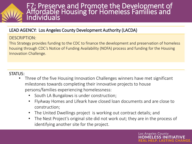#### F7: Preserve and Promote the Development of Affordable Housing for Homeless Families and Individuals

#### LEAD AGENCY: Los Angeles County Development Authority (LACDA)

#### DESCRIPTION:

This Strategy provides funding to the CDC to finance the development and preservation of homeless housing through CDC's Notice of Funding Availability (NOFA) process and funding for the Housing Innovation Challenge.

#### STATUS:

- Three of the five Housing Innovation Challenges winners have met significant milestones towards completing their innovative projects to house persons/families experiencing homelessness:
	- South LA Bungalows is under construction;
	- FlyAway Homes and Lifeark have closed loan documents and are close to construction;
	- The United Dwellings project is working out contract details; and
	- The Nest Project's original site did not work out; they are in the process of identifying another site for the project.

Los Angeles County

ELESS INI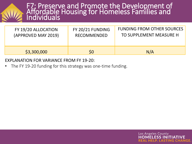#### F7: Preserve and Promote the Development of Affordable Housing for Homeless Families and Individuals

| FY 19/20 ALLOCATION | FY 20/21 FUNDING   | <b>FUNDING FROM OTHER SOURCES</b> |
|---------------------|--------------------|-----------------------------------|
| (APPROVED MAY 2019) | <b>RECOMMENDED</b> | TO SUPPLEMENT MEASURE H           |
| \$3,300,000         | \$0                | N/A                               |

#### EXPLANATION FOR VARIANCE FROM FY 19-20:

The FY 19-20 funding for this strategy was one-time funding.

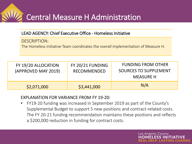## Central Measure H Administration

#### LEAD AGENCY: Chief Executive Office - Homeless Initiative

DESCRIPTION: The Homeless Initiative Team coordinates the overall implementation of Measure H.

| FY 19/20 ALLOCATION<br>(APPROVED MAY 2019) | FY 20/21 FUNDING<br>RECOMMENDED | <b>FUNDING FROM OTHER</b><br>SOURCES TO SUPPLEMENT<br><b>MEASURE H</b> |
|--------------------------------------------|---------------------------------|------------------------------------------------------------------------|
| \$2,071,000                                | \$3,441,000                     | N/A                                                                    |

#### EXPLANATION FOR VARIANCE FROM FY 19-20:

• FY19-20 funding was increased in September 2019 as part of the County's Supplemental Budget to support 5 new positions and contract-related costs. The FY 20-21 funding recommendation maintains these positions and reflects a \$200,000 reduction in funding for contract costs.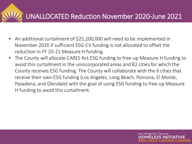## UNALLOCATED Reduction November 2020-June 2021

- An additional curtailment of \$25,200,000 will need to be implemented in November 2020 if sufficient ESG-CV funding is not allocated to offset the reduction in FY 20-21 Measure H funding.
- The County will allocate CARES Act ESG funding to free-up Measure H funding to avoid this curtailment in the unincorporated areas and 82 cities for which the County receives ESG funding. The County will collaborate with the 6 cities that receive their own ESG funding (Los Angeles, Long Beach, Pomona, El Monte, Pasadena, and Glendale) with the goal of using ESG funding to free-up Measure H funding to avoid this curtailment.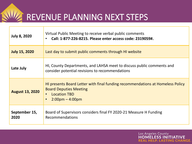REVENUE PLANNING NEXT STEPS

| <b>July 8, 2020</b>    | Virtual Public Meeting to receive verbal public comments<br>Call: 1-877-226-8215. Please enter access code: 2319059#.<br>$\bullet$                           |
|------------------------|--------------------------------------------------------------------------------------------------------------------------------------------------------------|
| <b>July 15, 2020</b>   | Last day to submit public comments through HI website                                                                                                        |
| Late July              | HI, County Departments, and LAHSA meet to discuss public comments and<br>consider potential revisions to recommendations                                     |
| <b>August 13, 2020</b> | HI presents Board Letter with final funding recommendations at Homeless Policy<br><b>Board Deputies Meeting</b><br><b>Location TBD</b><br>$2:00$ pm – 4:00pm |
| September 15,<br>2020  | Board of Supervisors considers final FY 2020-21 Measure H Funding<br><b>Recommendations</b>                                                                  |